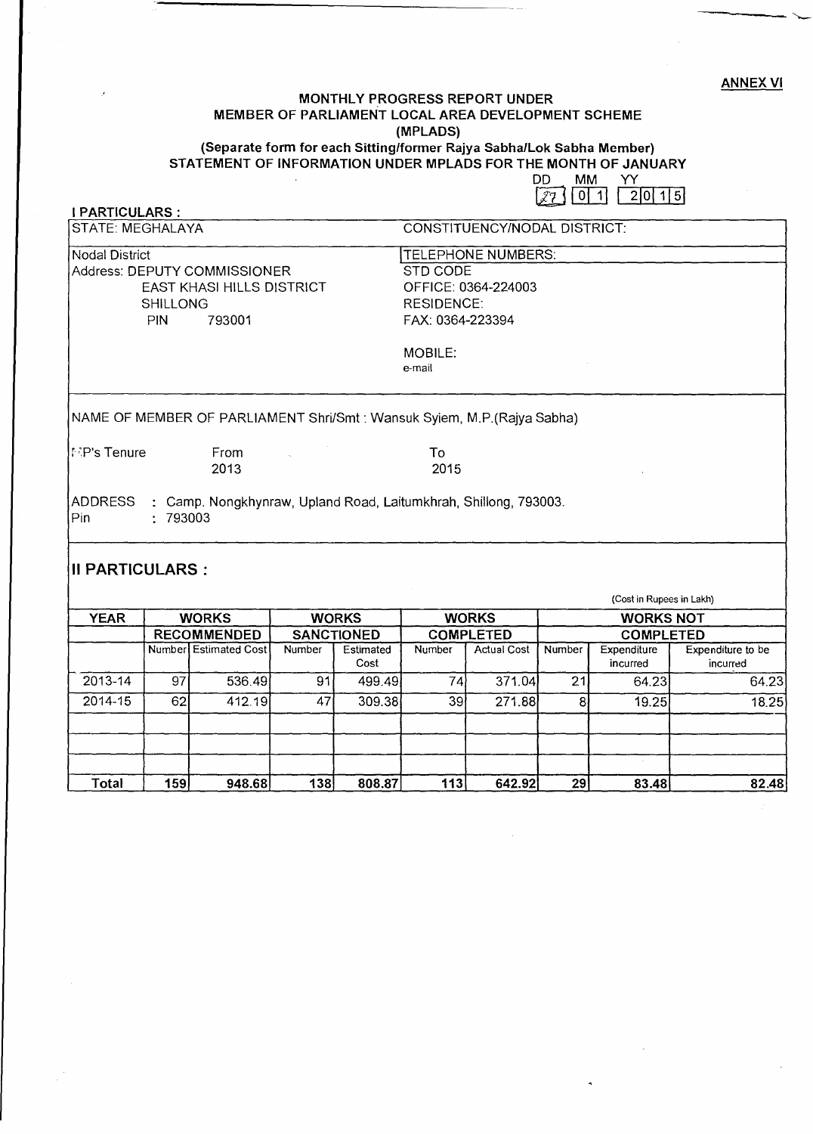ANNEX VI

----------

## **MONTHLY PROGRESS REPORT UNDER MEMBER OF PARLIAMENT LOCAL AREA DEVELOPMENT SCHEME (MPLADS) (Separate form for each Sitting/former Rajya Sabha/Lok Sabha Member) STATEMENT OF INFORMATION UNDER MPLADS FOR THE MONTH OF JANUARY**

DD MM YY<br>[27] 0 1 20 15

| <b>I PARTICULARS:</b>        |                 |                                                                          |              |                          |                                          |                    |                  |                          |                               |  |  |
|------------------------------|-----------------|--------------------------------------------------------------------------|--------------|--------------------------|------------------------------------------|--------------------|------------------|--------------------------|-------------------------------|--|--|
| <b>STATE: MEGHALAYA</b>      |                 |                                                                          |              |                          | CONSTITUENCY/NODAL DISTRICT:             |                    |                  |                          |                               |  |  |
| <b>Nodal District</b>        |                 |                                                                          |              |                          | TELEPHONE NUMBERS:                       |                    |                  |                          |                               |  |  |
| Address: DEPUTY COMMISSIONER |                 |                                                                          |              |                          | STD CODE                                 |                    |                  |                          |                               |  |  |
|                              |                 | <b>EAST KHASI HILLS DISTRICT</b>                                         |              |                          | OFFICE: 0364-224003<br><b>RESIDENCE:</b> |                    |                  |                          |                               |  |  |
|                              | <b>SHILLONG</b> |                                                                          |              |                          |                                          |                    |                  |                          |                               |  |  |
|                              | PIN             | 793001                                                                   |              |                          | FAX: 0364-223394                         |                    |                  |                          |                               |  |  |
|                              |                 |                                                                          |              |                          | MOBILE:<br>e-mail                        |                    |                  |                          |                               |  |  |
|                              |                 | NAME OF MEMBER OF PARLIAMENT Shri/Smt : Wansuk Syiem, M.P. (Rajya Sabha) |              |                          |                                          |                    |                  |                          |                               |  |  |
| ¦⊡P's Tenure                 |                 | From<br>2013                                                             |              |                          | To<br>2015                               |                    |                  |                          |                               |  |  |
| ADDRESS<br>Pin               | : 793003        | : Camp. Nongkhynraw, Upland Road, Laitumkhrah, Shillong, 793003.         |              |                          |                                          |                    |                  |                          |                               |  |  |
| II PARTICULARS :             |                 |                                                                          |              |                          |                                          |                    |                  |                          |                               |  |  |
|                              |                 |                                                                          |              |                          |                                          |                    |                  | (Cost in Rupees in Lakh) |                               |  |  |
| <b>YEAR</b>                  | <b>WORKS</b>    |                                                                          | <b>WORKS</b> |                          | <b>WORKS</b>                             |                    | <b>WORKS NOT</b> |                          |                               |  |  |
|                              |                 | <b>RECOMMENDED</b>                                                       |              | <b>SANCTIONED</b>        |                                          | <b>COMPLETED</b>   |                  | <b>COMPLETED</b>         |                               |  |  |
|                              |                 | <b>Number</b> Estimated Cost                                             | Number       | <b>Estimated</b><br>Cost | Number                                   | <b>Actual Cost</b> | Number           | Expenditure<br>incurred  | Expenditure to be<br>incurred |  |  |
| 2013-14                      | 97              | 536.49                                                                   | 91           | 499.49                   | 74                                       | 371.04             | 21               | 64.23                    | 64.23                         |  |  |
| $2014 - 15$                  | 62              | 412.19                                                                   | 47           | 309.38                   | 39                                       | 271.88             | 8                | 19.25                    | 18.25                         |  |  |
|                              |                 |                                                                          |              |                          |                                          |                    |                  |                          |                               |  |  |
| <b>Total</b>                 | 159             | 948.68                                                                   | 138          | 808.87                   | 113                                      | 642.92             | 29               | 83.48                    | 82.48                         |  |  |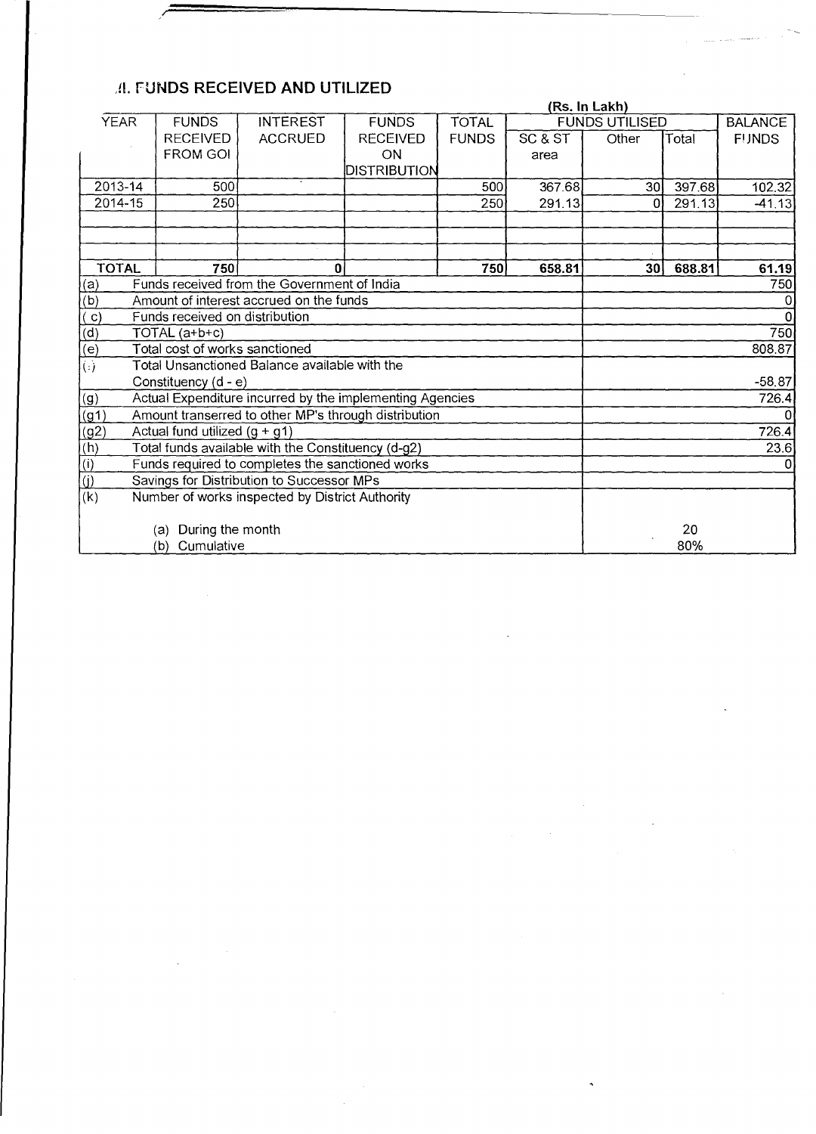## ,41. **FUNDS RECEIVED AND UTILIZED**

|                                                        | (Rs. In Lakh)                                        |                                                          |                 |              |          |                       |        |                |  |  |
|--------------------------------------------------------|------------------------------------------------------|----------------------------------------------------------|-----------------|--------------|----------|-----------------------|--------|----------------|--|--|
| <b>YEAR</b>                                            | <b>FUNDS</b>                                         | <b>INTEREST</b>                                          | <b>FUNDS</b>    | <b>TOTAL</b> |          | <b>FUNDS UTILISED</b> |        | <b>BALANCE</b> |  |  |
|                                                        | <b>RECEIVED</b>                                      | <b>ACCRUED</b>                                           | <b>RECEIVED</b> | <b>FUNDS</b> | SC & ST  | Other                 | Total  | <b>FUNDS</b>   |  |  |
|                                                        | <b>FROM GOI</b>                                      |                                                          | <b>ON</b>       |              | area     |                       |        |                |  |  |
|                                                        |                                                      |                                                          | DISTRIBUTION    |              |          |                       |        |                |  |  |
| $2013 - 14$                                            | 500                                                  |                                                          |                 | 500          | 367.68   | 30 <sup>1</sup>       | 397.68 | 102.32         |  |  |
| 2014-15                                                | 250                                                  |                                                          |                 | 250          | 291.13   | 0                     | 291.13 | $-41.13$       |  |  |
|                                                        |                                                      |                                                          |                 |              |          |                       |        |                |  |  |
|                                                        |                                                      |                                                          |                 |              |          |                       |        |                |  |  |
|                                                        |                                                      |                                                          |                 |              |          |                       |        |                |  |  |
| <b>TOTAL</b>                                           | 750                                                  | 0                                                        |                 | 750          | 658.81   | 30 <sup>1</sup>       | 688.81 | 61.19          |  |  |
| (a)                                                    |                                                      | Funds received from the Government of India              |                 |              |          |                       |        | 750            |  |  |
| (b)                                                    |                                                      | Amount of interest accrued on the funds                  |                 |              |          |                       |        |                |  |  |
| ( c )                                                  | Funds received on distribution                       |                                                          |                 |              |          | $\Omega$              |        |                |  |  |
| $\overline{(d)}$                                       | $TOTAL( a+b+c)$                                      |                                                          |                 |              |          |                       |        | 750            |  |  |
| $\overline{(e)}$                                       | Total cost of works sanctioned                       |                                                          |                 |              |          |                       |        | 808.87         |  |  |
| $\left( \cdot \right)$                                 | Total Unsanctioned Balance available with the        |                                                          |                 |              |          |                       |        |                |  |  |
|                                                        | Constituency (d - e)                                 |                                                          |                 |              | $-58.87$ |                       |        |                |  |  |
| (g)                                                    |                                                      | Actual Expenditure incurred by the implementing Agencies |                 |              |          | 726.4                 |        |                |  |  |
| (g1)                                                   | Amount transerred to other MP's through distribution |                                                          |                 |              |          |                       |        |                |  |  |
| (g2)                                                   | Actual fund utilized $(g + g1)$                      |                                                          |                 |              |          |                       |        | 726.4          |  |  |
| (h)                                                    | Total funds available with the Constituency (d-g2)   |                                                          |                 |              |          |                       |        | 23.6           |  |  |
| (i)                                                    | Funds required to completes the sanctioned works     |                                                          |                 |              |          |                       |        |                |  |  |
| (i)                                                    | Savings for Distribution to Successor MPs            |                                                          |                 |              |          |                       |        |                |  |  |
| (k)<br>Number of works inspected by District Authority |                                                      |                                                          |                 |              |          |                       |        |                |  |  |
|                                                        |                                                      |                                                          |                 |              |          |                       |        |                |  |  |
| During the month<br>(a)                                |                                                      |                                                          |                 |              |          |                       | 20     |                |  |  |
| (b) Cumulative                                         |                                                      |                                                          |                 |              |          |                       | 80%    |                |  |  |

/~====~----------------------